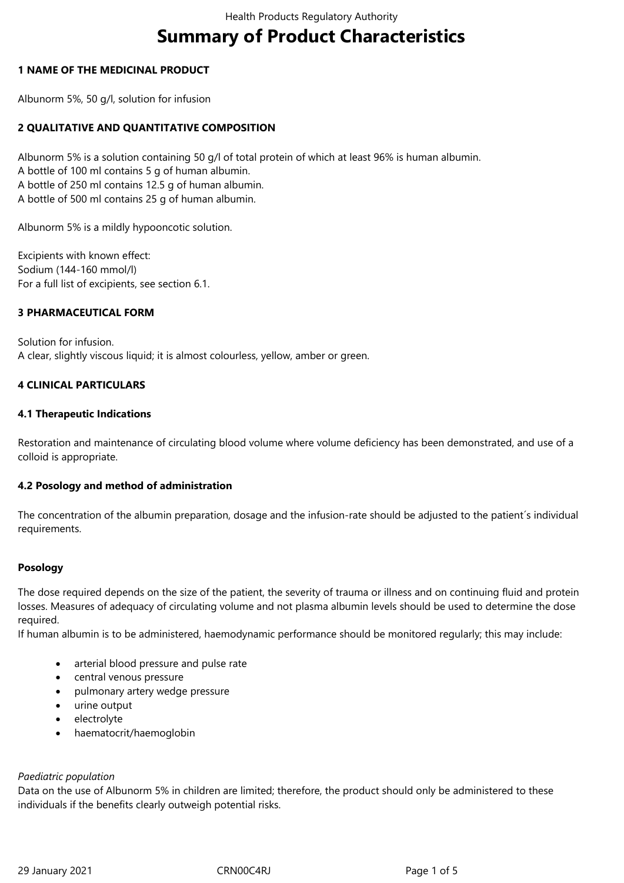# **Summary of Product Characteristics**

## **1 NAME OF THE MEDICINAL PRODUCT**

Albunorm 5%, 50 g/l, solution for infusion

## **2 QUALITATIVE AND QUANTITATIVE COMPOSITION**

Albunorm 5% is a solution containing 50 g/l of total protein of which at least 96% is human albumin. A bottle of 100 ml contains 5 g of human albumin. A bottle of 250 ml contains 12.5 g of human albumin. A bottle of 500 ml contains 25 g of human albumin.

Albunorm 5% is a mildly hypooncotic solution.

Excipients with known effect: Sodium (144-160 mmol/l) For a full list of excipients, see section 6.1.

#### **3 PHARMACEUTICAL FORM**

Solution for infusion. A clear, slightly viscous liquid; it is almost colourless, yellow, amber or green.

#### **4 CLINICAL PARTICULARS**

#### **4.1 Therapeutic Indications**

Restoration and maintenance of circulating blood volume where volume deficiency has been demonstrated, and use of a colloid is appropriate.

#### **4.2 Posology and method of administration**

The concentration of the albumin preparation, dosage and the infusion-rate should be adjusted to the patient´s individual requirements.

#### **Posology**

The dose required depends on the size of the patient, the severity of trauma or illness and on continuing fluid and protein losses. Measures of adequacy of circulating volume and not plasma albumin levels should be used to determine the dose required.

If human albumin is to be administered, haemodynamic performance should be monitored regularly; this may include:

- arterial blood pressure and pulse rate
- central venous pressure
- pulmonary artery wedge pressure
- urine output
- electrolyte
- haematocrit/haemoglobin

#### *Paediatric population*

Data on the use of Albunorm 5% in children are limited; therefore, the product should only be administered to these individuals if the benefits clearly outweigh potential risks.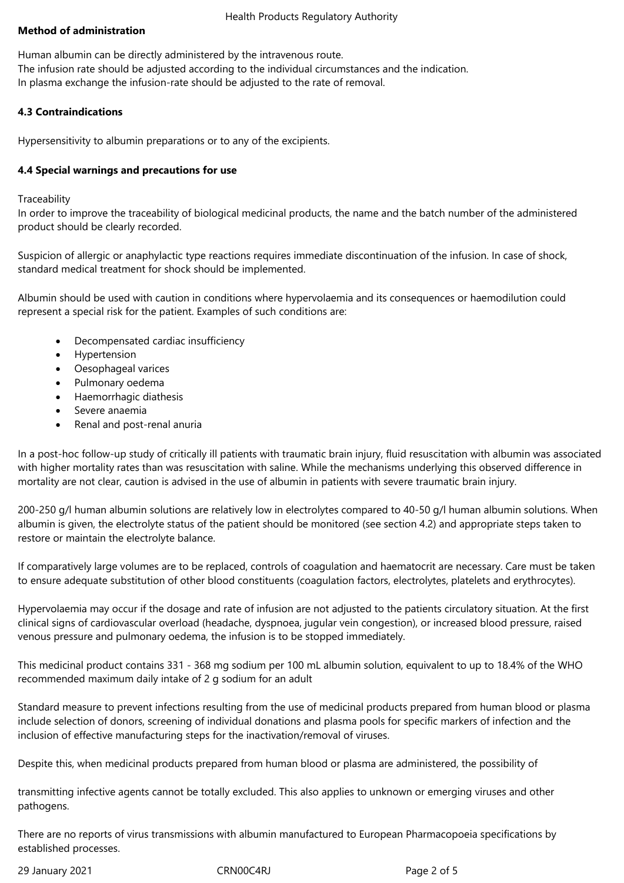## **Method of administration**

Human albumin can be directly administered by the intravenous route. The infusion rate should be adjusted according to the individual circumstances and the indication. In plasma exchange the infusion-rate should be adjusted to the rate of removal.

## **4.3 Contraindications**

Hypersensitivity to albumin preparations or to any of the excipients.

#### **4.4 Special warnings and precautions for use**

**Traceability** 

In order to improve the traceability of biological medicinal products, the name and the batch number of the administered product should be clearly recorded.

Suspicion of allergic or anaphylactic type reactions requires immediate discontinuation of the infusion. In case of shock, standard medical treatment for shock should be implemented.

Albumin should be used with caution in conditions where hypervolaemia and its consequences or haemodilution could represent a special risk for the patient. Examples of such conditions are:

- Decompensated cardiac insufficiency
- Hypertension
- Oesophageal varices
- Pulmonary oedema
- Haemorrhagic diathesis
- Severe anaemia
- Renal and post-renal anuria

In a post-hoc follow-up study of critically ill patients with traumatic brain injury, fluid resuscitation with albumin was associated with higher mortality rates than was resuscitation with saline. While the mechanisms underlying this observed difference in mortality are not clear, caution is advised in the use of albumin in patients with severe traumatic brain injury.

200-250 g/l human albumin solutions are relatively low in electrolytes compared to 40-50 g/l human albumin solutions. When albumin is given, the electrolyte status of the patient should be monitored (see section 4.2) and appropriate steps taken to restore or maintain the electrolyte balance.

If comparatively large volumes are to be replaced, controls of coagulation and haematocrit are necessary. Care must be taken to ensure adequate substitution of other blood constituents (coagulation factors, electrolytes, platelets and erythrocytes).

Hypervolaemia may occur if the dosage and rate of infusion are not adjusted to the patients circulatory situation. At the first clinical signs of cardiovascular overload (headache, dyspnoea, jugular vein congestion), or increased blood pressure, raised venous pressure and pulmonary oedema, the infusion is to be stopped immediately.

This medicinal product contains 331 - 368 mg sodium per 100 mL albumin solution, equivalent to up to 18.4% of the WHO recommended maximum daily intake of 2 g sodium for an adult

Standard measure to prevent infections resulting from the use of medicinal products prepared from human blood or plasma include selection of donors, screening of individual donations and plasma pools for specific markers of infection and the inclusion of effective manufacturing steps for the inactivation/removal of viruses.

Despite this, when medicinal products prepared from human blood or plasma are administered, the possibility of

transmitting infective agents cannot be totally excluded. This also applies to unknown or emerging viruses and other pathogens.

There are no reports of virus transmissions with albumin manufactured to European Pharmacopoeia specifications by established processes.

29 January 2021 CRN00C4RJ Page 2 of 5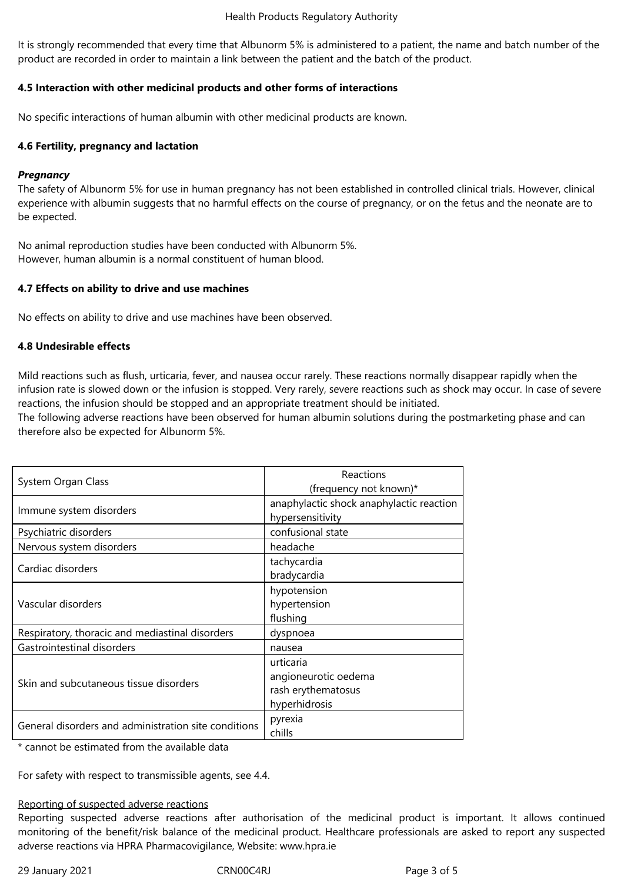#### Health Products Regulatory Authority

It is strongly recommended that every time that Albunorm 5% is administered to a patient, the name and batch number of the product are recorded in order to maintain a link between the patient and the batch of the product.

## **4.5 Interaction with other medicinal products and other forms of interactions**

No specific interactions of human albumin with other medicinal products are known.

#### **4.6 Fertility, pregnancy and lactation**

#### *Pregnancy*

The safety of Albunorm 5% for use in human pregnancy has not been established in controlled clinical trials. However, clinical experience with albumin suggests that no harmful effects on the course of pregnancy, or on the fetus and the neonate are to be expected.

No animal reproduction studies have been conducted with Albunorm 5%. However, human albumin is a normal constituent of human blood.

#### **4.7 Effects on ability to drive and use machines**

No effects on ability to drive and use machines have been observed.

#### **4.8 Undesirable effects**

Mild reactions such as flush, urticaria, fever, and nausea occur rarely. These reactions normally disappear rapidly when the infusion rate is slowed down or the infusion is stopped. Very rarely, severe reactions such as shock may occur. In case of severe reactions, the infusion should be stopped and an appropriate treatment should be initiated.

The following adverse reactions have been observed for human albumin solutions during the postmarketing phase and can therefore also be expected for Albunorm 5%.

| System Organ Class                                   | Reactions                                |
|------------------------------------------------------|------------------------------------------|
|                                                      | (frequency not known)*                   |
| Immune system disorders                              | anaphylactic shock anaphylactic reaction |
|                                                      | hypersensitivity                         |
| Psychiatric disorders                                | confusional state                        |
| Nervous system disorders                             | headache                                 |
| Cardiac disorders                                    | tachycardia                              |
|                                                      | bradycardia                              |
| Vascular disorders                                   | hypotension                              |
|                                                      | hypertension                             |
|                                                      | flushing                                 |
| Respiratory, thoracic and mediastinal disorders      | dyspnoea                                 |
| Gastrointestinal disorders                           | nausea                                   |
| Skin and subcutaneous tissue disorders               | urticaria                                |
|                                                      | angioneurotic oedema                     |
|                                                      | rash erythematosus                       |
|                                                      | hyperhidrosis                            |
| General disorders and administration site conditions | pyrexia                                  |
|                                                      | chills                                   |

\* cannot be estimated from the available data

For safety with respect to transmissible agents, see 4.4.

#### Reporting of suspected adverse reactions

Reporting suspected adverse reactions after authorisation of the medicinal product is important. It allows continued monitoring of the benefit/risk balance of the medicinal product. Healthcare professionals are asked to report any suspected adverse reactions via HPRA Pharmacovigilance, Website: www.hpra.ie

29 January 2021 CRN00C4RJ Page 3 of 5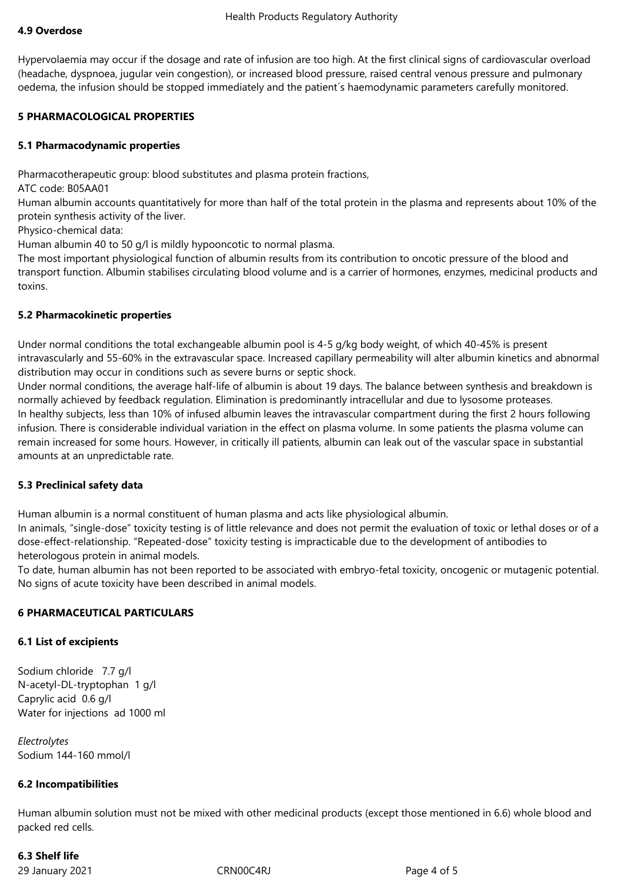#### **4.9 Overdose**

Hypervolaemia may occur if the dosage and rate of infusion are too high. At the first clinical signs of cardiovascular overload (headache, dyspnoea, jugular vein congestion), or increased blood pressure, raised central venous pressure and pulmonary oedema, the infusion should be stopped immediately and the patient´s haemodynamic parameters carefully monitored.

## **5 PHARMACOLOGICAL PROPERTIES**

#### **5.1 Pharmacodynamic properties**

Pharmacotherapeutic group: blood substitutes and plasma protein fractions,

ATC code: B05AA01

Human albumin accounts quantitatively for more than half of the total protein in the plasma and represents about 10% of the protein synthesis activity of the liver.

Physico-chemical data:

Human albumin 40 to 50 g/l is mildly hypooncotic to normal plasma.

The most important physiological function of albumin results from its contribution to oncotic pressure of the blood and transport function. Albumin stabilises circulating blood volume and is a carrier of hormones, enzymes, medicinal products and toxins.

#### **5.2 Pharmacokinetic properties**

Under normal conditions the total exchangeable albumin pool is 4-5 g/kg body weight, of which 40-45% is present intravascularly and 55-60% in the extravascular space. Increased capillary permeability will alter albumin kinetics and abnormal distribution may occur in conditions such as severe burns or septic shock.

Under normal conditions, the average half-life of albumin is about 19 days. The balance between synthesis and breakdown is normally achieved by feedback regulation. Elimination is predominantly intracellular and due to lysosome proteases. In healthy subjects, less than 10% of infused albumin leaves the intravascular compartment during the first 2 hours following infusion. There is considerable individual variation in the effect on plasma volume. In some patients the plasma volume can remain increased for some hours. However, in critically ill patients, albumin can leak out of the vascular space in substantial amounts at an unpredictable rate.

#### **5.3 Preclinical safety data**

Human albumin is a normal constituent of human plasma and acts like physiological albumin.

In animals, "single-dose" toxicity testing is of little relevance and does not permit the evaluation of toxic or lethal doses or of a dose-effect-relationship. "Repeated-dose" toxicity testing is impracticable due to the development of antibodies to heterologous protein in animal models.

To date, human albumin has not been reported to be associated with embryo-fetal toxicity, oncogenic or mutagenic potential. No signs of acute toxicity have been described in animal models.

## **6 PHARMACEUTICAL PARTICULARS**

#### **6.1 List of excipients**

Sodium chloride 7.7 g/l N-acetyl-DL-tryptophan 1 g/l Caprylic acid 0.6 g/l Water for injections ad 1000 ml

*Electrolytes* Sodium 144-160 mmol/l

#### **6.2 Incompatibilities**

Human albumin solution must not be mixed with other medicinal products (except those mentioned in 6.6) whole blood and packed red cells.

# **6.3 Shelf life**

29 January 2021 CRN00C4RJ Page 4 of 5